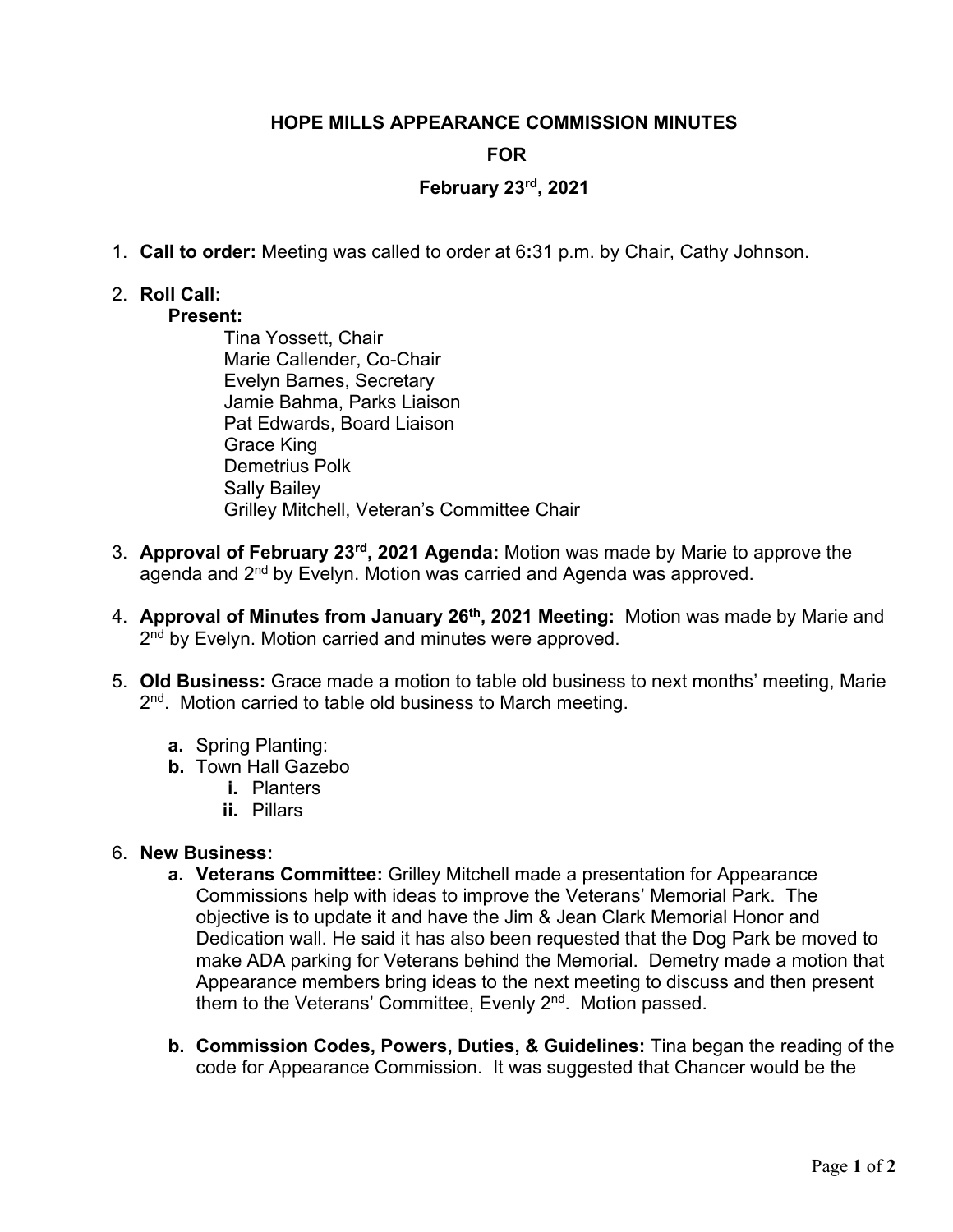#### **HOPE MILLS APPEARANCE COMMISSION MINUTES**

## **FOR**

## **February 23rd, 2021**

1. **Call to order:** Meeting was called to order at 6**:**31 p.m. by Chair, Cathy Johnson.

# 2. **Roll Call:**

# **Present:**

- Tina Yossett, Chair Marie Callender, Co-Chair Evelyn Barnes, Secretary Jamie Bahma, Parks Liaison Pat Edwards, Board Liaison Grace King Demetrius Polk Sally Bailey Grilley Mitchell, Veteran's Committee Chair
- 3. **Approval of February 23rd, 2021 Agenda:** Motion was made by Marie to approve the agenda and 2<sup>nd</sup> by Evelyn. Motion was carried and Agenda was approved.
- 4. **Approval of Minutes from January 26th, 2021 Meeting:** Motion was made by Marie and 2<sup>nd</sup> by Evelyn. Motion carried and minutes were approved.
- 5. **Old Business:** Grace made a motion to table old business to next months' meeting, Marie 2<sup>nd</sup>. Motion carried to table old business to March meeting.
	- **a.** Spring Planting:
	- **b.** Town Hall Gazebo
		- **i.** Planters
		- **ii.** Pillars

#### 6. **New Business:**

- **a. Veterans Committee:** Grilley Mitchell made a presentation for Appearance Commissions help with ideas to improve the Veterans' Memorial Park. The objective is to update it and have the Jim & Jean Clark Memorial Honor and Dedication wall. He said it has also been requested that the Dog Park be moved to make ADA parking for Veterans behind the Memorial. Demetry made a motion that Appearance members bring ideas to the next meeting to discuss and then present them to the Veterans' Committee, Evenly 2<sup>nd</sup>. Motion passed.
- **b. Commission Codes, Powers, Duties, & Guidelines:** Tina began the reading of the code for Appearance Commission. It was suggested that Chancer would be the